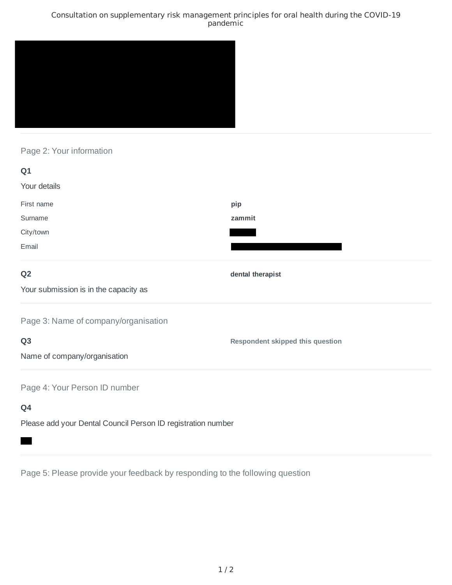### Consultation on supplementary risk management principles for oral health during the COVID-19 pandemic



# Page 2: Your information

| Q1                                        |                                  |
|-------------------------------------------|----------------------------------|
| Your details                              |                                  |
| First name                                | pip                              |
| Surname                                   | zammit                           |
| City/town                                 |                                  |
| Email                                     |                                  |
| Q <sub>2</sub>                            | dental therapist                 |
| Your submission is in the capacity as     |                                  |
| Page 3: Name of company/organisation      |                                  |
| Q <sub>3</sub>                            | Respondent skipped this question |
| Name of company/organisation              |                                  |
| Page 4: Your Person ID number             |                                  |
| Q4                                        |                                  |
| $-1$<br>and the state of the state of the |                                  |

Please add your Dental Council Person ID registration number

Page 5: Please provide your feedback by responding to the following question